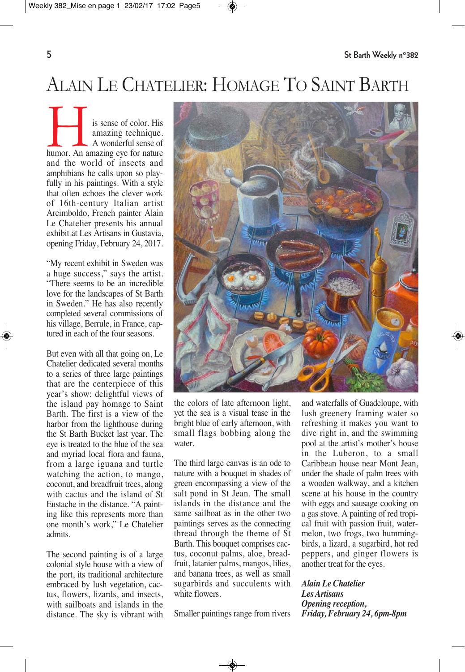## ALAIN LE CHATELIER: HOMAGE TO SAINT BARTH

is sense of color. His<br>
amazing technique.<br>
A wonderful sense of<br>
humor. An amazing eye for nature amazing technique. A wonderful sense of and the world of insects and amphibians he calls upon so playfully in his paintings. With a style that often echoes the clever work of 16th-century Italian artist Arcimboldo, French painter Alain Le Chatelier presents his annual exhibit at Les Artisans in Gustavia, opening Friday, February 24, 2017.

"My recent exhibit in Sweden was a huge success," says the artist. "There seems to be an incredible love for the landscapes of St Barth in Sweden." He has also recently completed several commissions of his village, Berrule, in France, captured in each of the four seasons.

But even with all that going on, Le Chatelier dedicated several months to a series of three large paintings that are the centerpiece of this year's show: delightful views of the island pay homage to Saint Barth. The first is a view of the harbor from the lighthouse during the St Barth Bucket last year. The eye is treated to the blue of the sea and myriad local flora and fauna, from a large iguana and turtle watching the action, to mango, coconut, and breadfruit trees, along with cactus and the island of St Eustache in the distance. "A painting like this represents more than one month's work," Le Chatelier admits.

The second painting is of a large colonial style house with a view of the port, its traditional architecture embraced by lush vegetation, cactus, flowers, lizards, and insects, with sailboats and islands in the distance. The sky is vibrant with



the colors of late afternoon light, yet the sea is a visual tease in the bright blue of early afternoon, with small flags bobbing along the water.

The third large canvas is an ode to nature with a bouquet in shades of green encompassing a view of the salt pond in St Jean. The small islands in the distance and the same sailboat as in the other two paintings serves as the connecting thread through the theme of St Barth. This bouquet comprises cactus, coconut palms, aloe, breadfruit, latanier palms, mangos, lilies, and banana trees, as well as small sugarbirds and succulents with white flowers.

Smaller paintings range from rivers

and waterfalls of Guadeloupe, with lush greenery framing water so refreshing it makes you want to dive right in, and the swimming pool at the artist's mother's house in the Luberon, to a small Caribbean house near Mont Jean, under the shade of palm trees with a wooden walkway, and a kitchen scene at his house in the country with eggs and sausage cooking on a gas stove. A painting of red tropical fruit with passion fruit, watermelon, two frogs, two hummingbirds, a lizard, a sugarbird, hot red peppers, and ginger flowers is another treat for the eyes.

## *Alain Le Chatelier Les Artisans Opening reception, Friday, February 24, 6pm-8pm*